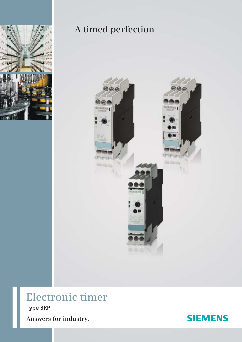

## A timed perfection



# **Electronic timer** Type 3RP



Answers for industry.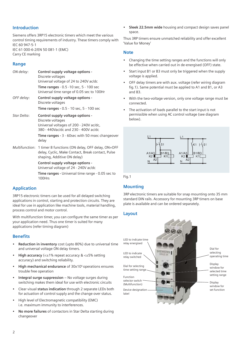## **Introduction**

Siemens offers 3RP15 electronic timers which meet the various control timing requirements of industry. These timers comply with IEC 60 947-5-1 IEC 61 000-6-2/EN 50 081-1 (EMC)

Carry CE marking

## **Range**

| ON delay:   | Control supply voltage options -<br>Discrete voltages<br>Universal voltage of 24 to 240V ac/dc                                                      |
|-------------|-----------------------------------------------------------------------------------------------------------------------------------------------------|
|             | Time ranges - 0.5 - 10 sec, 5 - 100 sec<br>Universal time range of 0.05 sec to 100Hr                                                                |
| OFF delay:  | Control supply voltage options -<br>Discrete voltages                                                                                               |
|             | Time ranges - 0.5 - 10 sec, 5 - 100 sec                                                                                                             |
| Star Delta: | Control supply voltage options -<br>Discrete voltages<br>Universal voltages of 200 - 240V ac/dc,<br>380 - 440Vac/dc and 230 - 400V ac/dc            |
|             | <b>Time ranges - 3 - 60sec with 50 msec changeover</b><br>delay                                                                                     |
|             | Multifunction: 1 timer 8 functions (ON delay, OFF delay, ON+OFF<br>delay, Cyclic, Make Contact, Break contact, Pulse<br>shaping, Additive ON delay) |

**Control supply voltage options -**

Universal voltage of 24 - 240V ac/dc

**Time ranges -** Universal time range - 0.05 sec to 100Hrs

## **Application**

3RP15 electronic timers can be used for all delayed switching applications in control, starting and protection circuits. They are ideal for use in application like machine tools, material handling, process control and motor control.

With multifunction timer, you can configure the same timer as per your application need. Thus one timer is suited for many applications (refer timing diagram)

### **Benefits**

- **Reduction in inventory** cost (upto 80%) due to universal time and universal voltage ON delay timers.
- **High accuracy** (<±1% repeat accuracy & <±5% setting accuracy) and switching reliability.
- **High mechanical endurance** of 30x106 operations ensures trouble free operation
- **Integral surge suppression** No voltage surges during switching makes them ideal for use with electronic circuits
- Clear visual **status indication** through 2 separate LEDs both for actuation of control supply and the change over status.
- High level of Electromagnetic compatibility (EMC) i.e. maximum immunity to interferences.
- **No more failures** of contactors in Star Delta starting during changeover

• **Sleek 22.5mm wide** housing and compact design saves panel space.

Thus 3RP timers ensure unmatched reliability and offer excellent 'Value for Money'

#### **Note**

- Changing the time setting ranges and the functions will only be effective when carried out in de-energised (OFF) state.
- Start input B1 or B3 must only be triggered when the supply voltage is applied.
- OFF delay timers are with aux. voltage (refer wiring diagram fig.1). Same potential must be applied to A1 and B1, or A3 and B3.
- With the two-voltage version, only one voltage range must be connected.
- The activation of loads parallel to the start input is not permissible when using AC control voltage (see diagram below).



Fig.1

## **Mounting**

3RP electronic timers are suitable for snap mounting onto 35 mm standard DIN rails. Accessory for mounting 3RP timers on base plate is available and can be ordered separately.

#### **Layout**

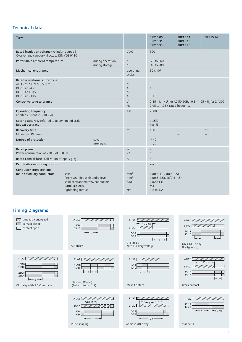## **Technical data**

| <b>Type</b>                                                                                                    |                                                                                                                     |                                                        | 3RP1505<br>3RP1531<br>3RP1533                                                                                       | 3RP15 11<br>3RP1513<br>3RP15 25 | 3RP1576 |
|----------------------------------------------------------------------------------------------------------------|---------------------------------------------------------------------------------------------------------------------|--------------------------------------------------------|---------------------------------------------------------------------------------------------------------------------|---------------------------------|---------|
| Rated insulation voltage (Pollution degree 3)<br>Overvoltage category III acc. to DIN VDE 0110                 |                                                                                                                     | V AC                                                   | 300                                                                                                                 |                                 |         |
| Permissible ambient temperature                                                                                | during operation<br>during storage                                                                                  | $^{\circ}$ C<br>$^{\circ}$ C                           | $-25$ to $+60$<br>$-40$ to $+80$                                                                                    |                                 |         |
| <b>Mechanical endurance</b>                                                                                    |                                                                                                                     | operating<br>cycles                                    | $30 \times 10^6$                                                                                                    |                                 |         |
| Rated operational currents le<br>AC-15 at 230 V AC, 50 Hz<br>DC-13 at 24 V<br>DC-13 at 110 V<br>DC-13 at 230 V |                                                                                                                     | $\overline{A}$<br>A<br>$\overline{A}$<br>A             | 3<br>$\mathbf{1}$<br>0.2<br>0.1                                                                                     |                                 |         |
| Control voltage tolerance                                                                                      |                                                                                                                     | $\vee$<br>Hz                                           | 0.85 - 1.1 x U <sub>s</sub> for AC 50/60Hz; 0.8 - 1.25 x U <sub>s</sub> for 24VDC<br>0.95 to 1.05 x rated frequency |                                 |         |
| <b>Operating frequency</b><br>at rated current le, 230 V AC                                                    |                                                                                                                     | 1/h                                                    | 2500                                                                                                                |                                 |         |
| Setting accuracy referred to upper limit of scale<br>Repeat accuracy                                           |                                                                                                                     |                                                        | $< \pm 5\%$<br>$< \pm 1\%$                                                                                          |                                 |         |
| <b>Recovery time</b><br>Minimum ON period                                                                      |                                                                                                                     | ms<br>ms                                               | 150<br>35                                                                                                           |                                 | 150     |
| Degree of protection                                                                                           | cover<br>terminals                                                                                                  |                                                        | <b>IP 40</b><br><b>IP 20</b>                                                                                        |                                 |         |
| <b>Rated power</b><br>Power consumption at 230 V AC, 50 Hz                                                     |                                                                                                                     | W<br>VA                                                | 2<br>6                                                                                                              |                                 |         |
| Rated control fuse - Utilization category gL/gG                                                                |                                                                                                                     | A                                                      | $\overline{4}$                                                                                                      |                                 |         |
| Permissible mounting position                                                                                  |                                                                                                                     |                                                        | any                                                                                                                 |                                 |         |
| Conductor cross-sections -<br>main / auxiliary conductors                                                      | solid<br>finely stranded with end sleeve<br>solid or stranded AWG conductors<br>terminal screw<br>tightening torque | mm <sup>2</sup><br>mm <sup>2</sup><br><b>AWG</b><br>Nm | $1x(0.5-4), 2x(0.5-2.5)$<br>$1x(0.5-2.5), 2x(0.5-1.5)$<br>$2x(20-14)$<br>M <sub>3</sub><br>0.8 to 1.2               |                                 |         |

## **Timing Diagrams**